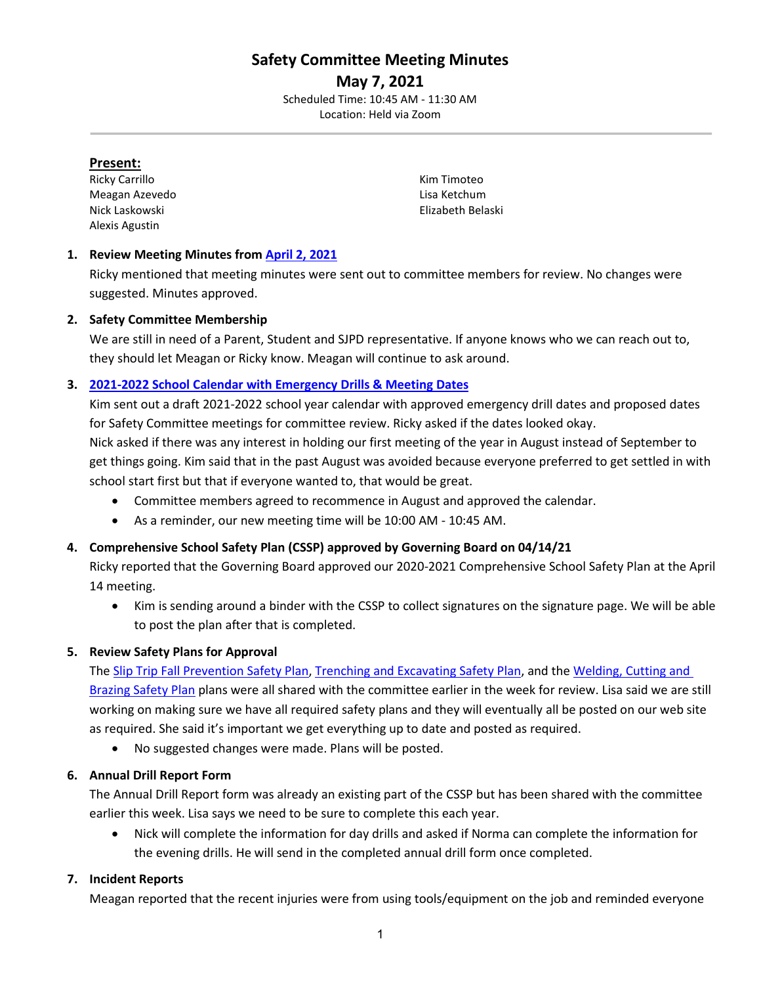# **Safety Committee Meeting Minutes**

**May 7, 2021** Scheduled Time: 10:45 AM - 11:30 AM Location: Held via Zoom

#### **Present:**

Ricky Carrillo **Kim Timoteo** Meagan Azevedo **Lisa Ketchum** Nick Laskowski Elizabeth Belaski Alexis Agustin

# **1. Review Meeting Minutes from [April 2, 2021](https://drive.google.com/file/d/1vTC3ncNs7YBss9H6Nr_qw3W-HzGp5M8l/view?usp=sharing)**

Ricky mentioned that meeting minutes were sent out to committee members for review. No changes were suggested. Minutes approved.

#### **2. Safety Committee Membership**

We are still in need of a Parent, Student and SJPD representative. If anyone knows who we can reach out to, they should let Meagan or Ricky know. Meagan will continue to ask around.

# **3. [2021-2022 School Calendar with Emergency Drills & Meeting Dates](https://drive.google.com/file/d/15l6H-Y-Q5iAYZc-J8s05BIjoydj66PXM/view?usp=sharing)**

Kim sent out a draft 2021-2022 school year calendar with approved emergency drill dates and proposed dates for Safety Committee meetings for committee review. Ricky asked if the dates looked okay. Nick asked if there was any interest in holding our first meeting of the year in August instead of September to get things going. Kim said that in the past August was avoided because everyone preferred to get settled in with school start first but that if everyone wanted to, that would be great.

- Committee members agreed to recommence in August and approved the calendar.
- As a reminder, our new meeting time will be 10:00 AM 10:45 AM.

# **4. Comprehensive School Safety Plan (CSSP) approved by Governing Board on 04/14/21**

Ricky reported that the Governing Board approved our 2020-2021 Comprehensive School Safety Plan at the April 14 meeting.

• Kim is sending around a binder with the CSSP to collect signatures on the signature page. We will be able to post the plan after that is completed.

#### **5. Review Safety Plans for Approval**

# The [Slip Trip Fall Prevention Safety Plan,](https://drive.google.com/file/d/1VMIXw_z5xWQkO6YjBpH1BKDC1OHi17hL/view?usp=sharing) [Trenching and Excavating Safety Plan,](https://drive.google.com/file/d/1_ZapDh0f6PwiljnxjGlHOlN_aivajVqy/view?usp=sharing) and the Welding, Cutting and

[Brazing Safety Plan](https://drive.google.com/file/d/1pEVxs11Zya3DQbXWuyUBcrIQe-4Udlk8/view?usp=sharing) plans were all shared with the committee earlier in the week for review. Lisa said we are still working on making sure we have all required safety plans and they will eventually all be posted on our web site as required. She said it's important we get everything up to date and posted as required.

• No suggested changes were made. Plans will be posted.

#### **6. Annual Drill Report Form**

The Annual Drill Report form was already an existing part of the CSSP but has been shared with the committee earlier this week. Lisa says we need to be sure to complete this each year.

• Nick will complete the information for day drills and asked if Norma can complete the information for the evening drills. He will send in the completed annual drill form once completed.

#### **7. Incident Reports**

Meagan reported that the recent injuries were from using tools/equipment on the job and reminded everyone